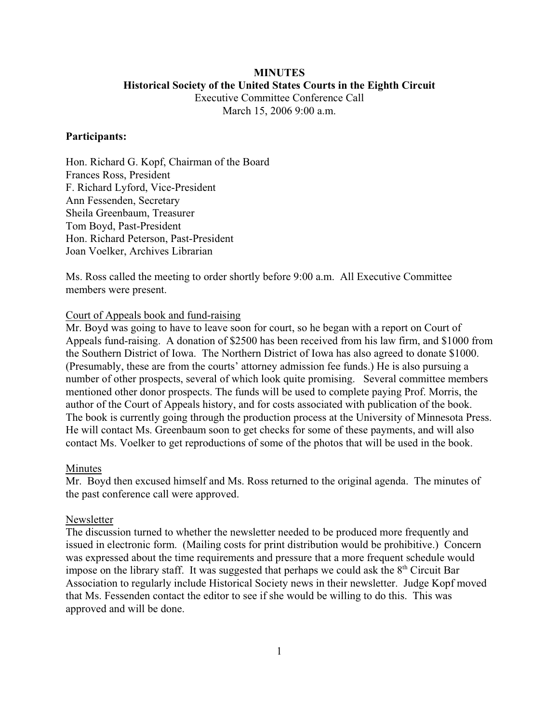# **MINUTES Historical Society of the United States Courts in the Eighth Circuit** Executive Committee Conference Call

March 15, 2006 9:00 a.m.

#### **Participants:**

Hon. Richard G. Kopf, Chairman of the Board Frances Ross, President F. Richard Lyford, Vice-President Ann Fessenden, Secretary Sheila Greenbaum, Treasurer Tom Boyd, Past-President Hon. Richard Peterson, Past-President Joan Voelker, Archives Librarian

Ms. Ross called the meeting to order shortly before 9:00 a.m. All Executive Committee members were present.

# Court of Appeals book and fund-raising

Mr. Boyd was going to have to leave soon for court, so he began with a report on Court of Appeals fund-raising. A donation of \$2500 has been received from his law firm, and \$1000 from the Southern District of Iowa. The Northern District of Iowa has also agreed to donate \$1000. (Presumably, these are from the courts' attorney admission fee funds.) He is also pursuing a number of other prospects, several of which look quite promising. Several committee members mentioned other donor prospects. The funds will be used to complete paying Prof. Morris, the author of the Court of Appeals history, and for costs associated with publication of the book. The book is currently going through the production process at the University of Minnesota Press. He will contact Ms. Greenbaum soon to get checks for some of these payments, and will also contact Ms. Voelker to get reproductions of some of the photos that will be used in the book.

## Minutes

Mr. Boyd then excused himself and Ms. Ross returned to the original agenda. The minutes of the past conference call were approved.

#### Newsletter

The discussion turned to whether the newsletter needed to be produced more frequently and issued in electronic form. (Mailing costs for print distribution would be prohibitive.) Concern was expressed about the time requirements and pressure that a more frequent schedule would impose on the library staff. It was suggested that perhaps we could ask the  $8<sup>th</sup>$  Circuit Bar Association to regularly include Historical Society news in their newsletter. Judge Kopf moved that Ms. Fessenden contact the editor to see if she would be willing to do this. This was approved and will be done.